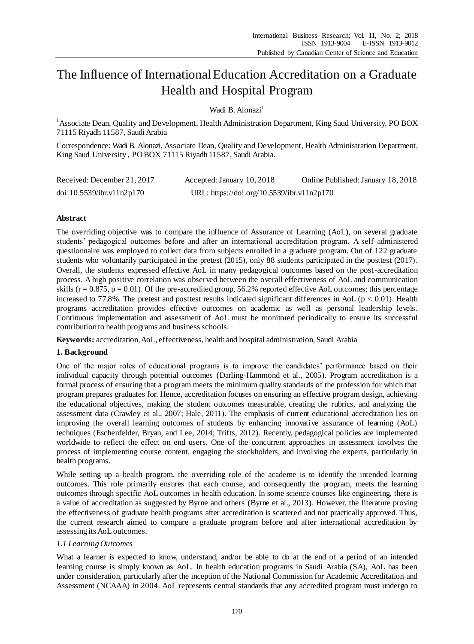# The Influence of International Education Accreditation on a Graduate Health and Hospital Program

Wadi B. Alonazi<sup>1</sup>

<sup>1</sup> Associate Dean, Quality and Development, Health Administration Department, King Saud University, PO BOX 71115 Riyadh 11587, Saudi Arabia

Correspondence: Wadi B. Alonazi, Associate Dean, Quality and Development, Health Administration Department, King Saud University , PO BOX 71115 Riyadh 11587, Saudi Arabia.

| Received: December 21, 2017 | Accepted: January 10, 2018                 | Online Published: January 18, 2018 |
|-----------------------------|--------------------------------------------|------------------------------------|
| doi:10.5539/ibr.v11n2p170   | URL: https://doi.org/10.5539/ibr.v11n2p170 |                                    |

# **Abstract**

The overriding objective was to compare the influence of Assurance of Learning (AoL), on several graduate students' pedagogical outcomes before and after an international accreditation program. A self-administered questionnaire was employed to collect data from subjects enrolled in a graduate program. Out of 122 graduate students who voluntarily participated in the pretest (2015), only 88 students participated in the posttest (2017). Overall, the students expressed effective AoL in many pedagogical outcomes based on the post-accreditation process. A high positive correlation was observed between the overall effectiveness of AoL and communication skills ( $r = 0.875$ ,  $p = 0.01$ ). Of the pre-accredited group, 56.2% reported effective AoL outcomes; this percentage increased to 77.8%. The pretest and posttest results indicated significant differences in AoL ( $p < 0.01$ ). Health programs accreditation provides effective outcomes on academic as well as personal leadership levels. Continuous implementation and assessment of AoL must be monitored periodically to ensure its successful contribution to health programs and business schools.

**Keywords:** accreditation, AoL, effectiveness, health and hospital administration, Saudi Arabia

# **1. Background**

One of the major roles of educational programs is to improve the candidates' performance based on their individual capacity through potential outcomes (Darling-Hammond et al., 2005). Program accreditation is a formal process of ensuring that a program meets the minimum quality standards of the profession for which that program prepares graduates for. Hence, accreditation focuses on ensuring an effective program design, achieving the educational objectives, making the student outcomes measurable, creating the rubrics, and analyzing the assessment data (Crawley et al., 2007; Hale, 2011). The emphasis of current educational accreditation lies on improving the overall learning outcomes of students by enhancing innovative assurance of learning (AoL) techniques (Eschenfelder, Bryan, and Lee, 2014; Trifts, 2012). Recently, pedagogical policies are implemented worldwide to reflect the effect on end users. One of the concurrent approaches in assessment involves the process of implementing course content, engaging the stockholders, and involving the experts, particularly in health programs.

While setting up a health program, the overriding role of the academe is to identify the intended learning outcomes. This role primarily ensures that each course, and consequently the program, meets the learning outcomes through specific AoL outcomes in health education. In some science courses like engineering, there is a value of accreditation as suggested by Byrne and others (Byrne et al., 2013). However, the literature proving the effectiveness of graduate health programs after accreditation is scattered and not practically approved. Thus, the current research aimed to compare a graduate program before and after international accreditation by assessing its AoL outcomes.

# *1.1 Learning Outcomes*

What a learner is expected to know, understand, and/or be able to do at the end of a period of an intended learning course is simply known as AoL. In health education programs in Saudi Arabia (SA), AoL has been under consideration, particularly after the inception of the National Commission for Academic Accreditation and Assessment (NCAAA) in 2004. AoL represents central standards that any accredited program must undergo to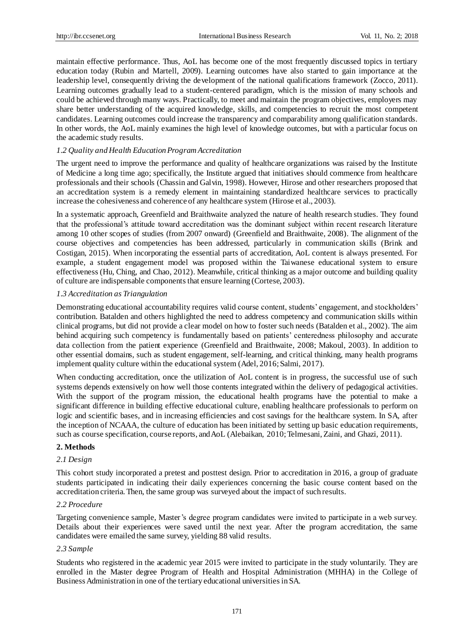maintain effective performance. Thus, AoL has become one of the most frequently discussed topics in tertiary education today (Rubin and Martell, 2009). Learning outcomes have also started to gain importance at the leadership level, consequently driving the development of the national qualifications framework (Zocco, 2011). Learning outcomes gradually lead to a student-centered paradigm, which is the mission of many schools and could be achieved through many ways. Practically, to meet and maintain the program objectives, employers may share better understanding of the acquired knowledge, skills, and competencies to recruit the most competent candidates. Learning outcomes could increase the transparency and comparability among qualification standards. In other words, the AoL mainly examines the high level of knowledge outcomes, but with a particular focus on the academic study results.

# *1.2 Quality and Health Education Program Accreditation*

The urgent need to improve the performance and quality of healthcare organizations was raised by the Institute of Medicine a long time ago; specifically, the Institute argued that initiatives should commence from healthcare professionals and their schools (Chassin and Galvin, 1998). However, Hirose and other researchers proposed that an accreditation system is a remedy element in maintaining standardized healthcare services to practically increase the cohesiveness and coherence of any healthcare system (Hirose et al., 2003).

In a systematic approach, Greenfield and Braithwaite analyzed the nature of health research studies. They found that the professional's attitude toward accreditation was the dominant subject within recent research literature among 10 other scopes of studies (from 2007 onward) (Greenfield and Braithwaite, 2008). The alignment of the course objectives and competencies has been addressed, particularly in communication skills (Brink and Costigan, 2015). When incorporating the essential parts of accreditation, AoL content is always presented. For example, a student engagement model was proposed within the Taiwanese educational system to ensure effectiveness (Hu, Ching, and Chao, 2012). Meanwhile, critical thinking as a major outcome and building quality of culture are indispensable components that ensure learning (Cortese, 2003).

#### *1.3 Accreditation as Triangulation*

Demonstrating educational accountability requires valid course content, students' engagement, and stockholders' contribution. Batalden and others highlighted the need to address competency and communication skills within clinical programs, but did not provide a clear model on how to foster such needs (Batalden et al., 2002). The aim behind acquiring such competency is fundamentally based on patients' centeredness philosophy and accurate data collection from the patient experience (Greenfield and Braithwaite, 2008; Makoul, 2003). In addition to other essential domains, such as student engagement, self-learning, and critical thinking, many health programs implement quality culture within the educational system (Adel, 2016; Salmi, 2017).

When conducting accreditation, once the utilization of AoL content is in progress, the successful use of such systems depends extensively on how well those contents integrated within the delivery of pedagogical activities. With the support of the program mission, the educational health programs have the potential to make a significant difference in building effective educational culture, enabling healthcare professionals to perform on logic and scientific bases, and in increasing efficiencies and cost savings for the healthcare system. In SA, after the inception of NCAAA, the culture of education has been initiated by setting up basic education requirements, such as course specification, course reports, and AoL (Alebaikan, 2010; Telmesani, Zaini, and Ghazi, 2011).

# **2. Methods**

#### *2.1 Design*

This cohort study incorporated a pretest and posttest design. Prior to accreditation in 2016, a group of graduate students participated in indicating their daily experiences concerning the basic course content based on the accreditation criteria. Then, the same group was surveyed about the impact of such results.

## *2.2 Procedure*

Targeting convenience sample, Master's degree program candidates were invited to participate in a web survey. Details about their experiences were saved until the next year. After the program accreditation, the same candidates were emailed the same survey, yielding 88 valid results.

#### *2.3 Sample*

Students who registered in the academic year 2015 were invited to participate in the study voluntarily. They are enrolled in the Master degree Program of Health and Hospital Administration (MHHA) in the College of Business Administration in one of the tertiary educational universities in SA.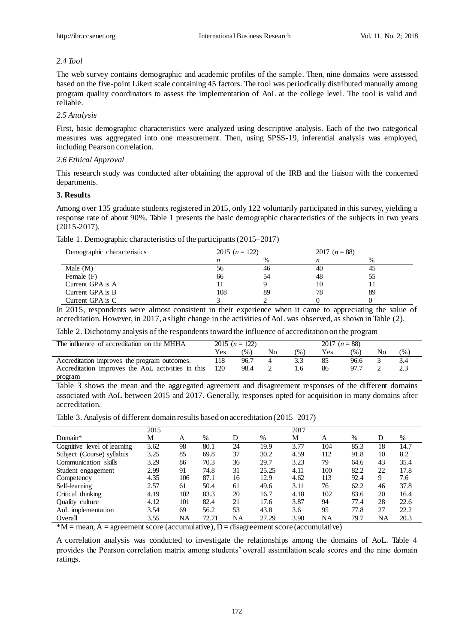### *2.4 Tool*

The web survey contains demographic and academic profiles of the sample. Then, nine domains were assessed based on the five-point Likert scale containing 45 factors. The tool was periodically distributed manually among program quality coordinators to assess the implementation of AoL at the college level. The tool is valid and reliable.

# *2.5 Analysis*

First, basic demographic characteristics were analyzed using descriptive analysis. Each of the two categorical measures was aggregated into one measurement. Then, using SPSS-19, inferential analysis was employed, including Pearson correlation.

## *2.6 Ethical Approval*

This research study was conducted after obtaining the approval of the IRB and the liaison with the concerned departments.

# **3. Results**

Among over 135 graduate students registered in 2015, only 122 voluntarily participated in this survey, yielding a response rate of about 90%. Table 1 presents the basic demographic characteristics of the subjects in two years (2015-2017).

Table 1. Demographic characteristics of the participants (2015–2017)

| Demographic characteristics |     | 2015 $(n = 122)$ |    | 2017 $(n = 88)$ |  |
|-----------------------------|-----|------------------|----|-----------------|--|
|                             |     | $\%$             | n  | %               |  |
| Male $(M)$                  | 56  | 46               | 40 | 45              |  |
| Female (F)                  | 66  | 54               | 48 | 55              |  |
| Current GPA is A            |     |                  | 10 |                 |  |
| Current GPA is B            | 108 | 89               | 78 | 89              |  |
| Current GPA is C            |     |                  |    |                 |  |

In 2015, respondents were almost consistent in their experience when it came to appreciating the value of accreditation. However, in 2017, a slight change in the activities of AoL was observed, as shown in Table (2).

Table 2. Dichotomy analysis of the respondents toward the influence of accreditation on the program

| The influence of accreditation on the MHHA        | 2015 $(n = 122)$ |      |    |     | 2017 $(n = 88)$ |               |    |               |
|---------------------------------------------------|------------------|------|----|-----|-----------------|---------------|----|---------------|
|                                                   | Yes              | (% ) | No | (%) | Yes             | $\frac{9}{6}$ | No | $\frac{9}{6}$ |
| Accreditation improves the program outcomes.      | 118              | 96.7 |    | 3.3 |                 | 96.6          |    |               |
| Accreditation improves the AoL activities in this | 120              | 98.4 |    | 1.6 | 86              | 97.7          |    |               |
| program                                           |                  |      |    |     |                 |               |    |               |

Table 3 shows the mean and the aggregated agreement and disagreement responses of the different domains associated with AoL between 2015 and 2017. Generally, responses opted for acquisition in many domains after accreditation.

Table 3. Analysis of different domain results based on accreditation (2015–2017)

|                             | 2015 |     |       |    |       | 2017 |     |      |    |      |
|-----------------------------|------|-----|-------|----|-------|------|-----|------|----|------|
| $Domain^*$                  | М    | А   | $\%$  | D  | $\%$  | М    | А   | $\%$ | D  | %    |
| Cognitive level of learning | 3.62 | 98  | 80.1  | 24 | 19.9  | 3.77 | 104 | 85.3 | 18 | 14.7 |
| Subject (Course) syllabus   | 3.25 | 85  | 69.8  | 37 | 30.2  | 4.59 | 112 | 91.8 | 10 | 8.2  |
| Communication skills        | 3.29 | 86  | 70.3  | 36 | 29.7  | 3.23 | 79  | 64.6 | 43 | 35.4 |
| Student engagement          | 2.99 | 91  | 74.8  | 31 | 25.25 | 4.11 | 100 | 82.2 | 22 | 17.8 |
| Competency                  | 4.35 | 106 | 87.1  | 16 | 12.9  | 4.62 | 113 | 92.4 | 9  | 7.6  |
| Self-learning               | 2.57 | 61  | 50.4  | 61 | 49.6  | 3.11 | 76  | 62.2 | 46 | 37.8 |
| Critical thinking           | 4.19 | 102 | 83.3  | 20 | 16.7  | 4.18 | 102 | 83.6 | 20 | 16.4 |
| <b>Ouality</b> culture      | 4.12 | 101 | 82.4  | 21 | 17.6  | 3.87 | 94  | 77.4 | 28 | 22.6 |
| AoL implementation          | 3.54 | 69  | 56.2  | 53 | 43.8  | 3.6  | 95  | 77.8 | 27 | 22.2 |
| Overall                     | 3.55 | NA  | 72.71 | NA | 27.29 | 3.90 | NA  | 79.7 | NA | 20.3 |

 $*M$  = mean, A = agreement score (accumulative), D = disagreement score (accumulative)

A correlation analysis was conducted to investigate the relationships among the domains of AoL. Table 4 provides the Pearson correlation matrix among students' overall assimilation scale scores and the nine domain ratings.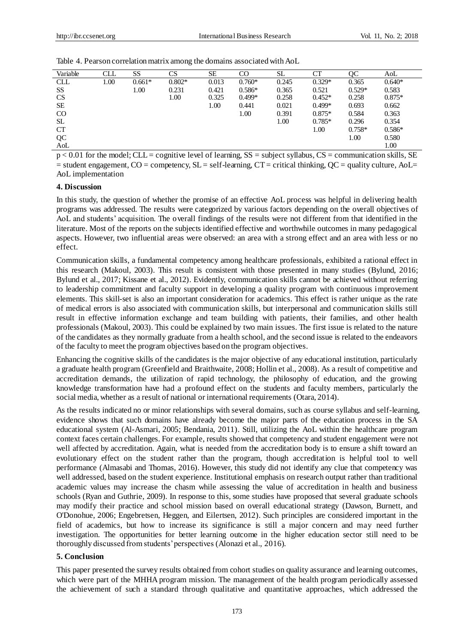| Variable   | <b>CLL</b> | <b>SS</b> | CS       | <b>SE</b> | CO       | SL    | CT       | OC       | AoL      |
|------------|------------|-----------|----------|-----------|----------|-------|----------|----------|----------|
| <b>CLL</b> | 1.00       | $0.661*$  | $0.802*$ | 0.013     | $0.760*$ | 0.245 | $0.329*$ | 0.365    | $0.640*$ |
| SS         |            | 1.00      | 0.231    | 0.421     | $0.586*$ | 0.365 | 0.521    | $0.529*$ | 0.583    |
| <b>CS</b>  |            |           | 1.00     | 0.325     | $0.499*$ | 0.258 | $0.452*$ | 0.258    | $0.875*$ |
| SE         |            |           |          | 1.00      | 0.441    | 0.021 | $0.499*$ | 0.693    | 0.662    |
| CO         |            |           |          |           | 1.00     | 0.391 | $0.875*$ | 0.584    | 0.363    |
| <b>SL</b>  |            |           |          |           |          | 1.00  | $0.785*$ | 0.296    | 0.354    |
| <b>CT</b>  |            |           |          |           |          |       | 1.00     | $0.758*$ | $0.586*$ |
| QC         |            |           |          |           |          |       |          | 1.00     | 0.580    |
| AoL        |            |           |          |           |          |       |          |          | 1.00     |

 $p < 0.01$  for the model; CLL = cognitive level of learning, SS = subject syllabus, CS = communication skills, SE  $=$  student engagement, CO  $=$  competency, SL  $=$  self-learning, CT  $=$  critical thinking, QC  $=$  quality culture, AoL $=$ AoL implementation

# **4. Discussion**

In this study, the question of whether the promise of an effective AoL process was helpful in delivering health programs was addressed. The results were categorized by various factors depending on the overall objectives of AoL and students' acquisition. The overall findings of the results were not different from that identified in the literature. Most of the reports on the subjects identified effective and worthwhile outcomes in many pedagogical aspects. However, two influential areas were observed: an area with a strong effect and an area with less or no effect.

Communication skills, a fundamental competency among healthcare professionals, exhibited a rational effect in this research (Makoul, 2003). This result is consistent with those presented in many studies (Bylund, 2016; Bylund et al., 2017; Kissane et al., 2012). Evidently, communication skills cannot be achieved without referring to leadership commitment and faculty support in developing a quality program with continuous improvement elements. This skill-set is also an important consideration for academics. This effect is rather unique as the rate of medical errors is also associated with communication skills, but interpersonal and communication skills still result in effective information exchange and team building with patients, their families, and other health professionals (Makoul, 2003). This could be explained by two main issues. The first issue is related to the nature of the candidates as they normally graduate from a health school, and the second issue is related to the endeavors of the faculty to meet the program objectives based on the program objectives.

Enhancing the cognitive skills of the candidates is the major objective of any educational institution, particularly a graduate health program (Greenfield and Braithwaite, 2008; Hollin et al., 2008). As a result of competitive and accreditation demands, the utilization of rapid technology, the philosophy of education, and the growing knowledge transformation have had a profound effect on the students and faculty members, particularly the social media, whether as a result of national or international requirements (Otara, 2014).

As the results indicated no or minor relationships with several domains, such as course syllabus and self-learning, evidence shows that such domains have already become the major parts of the education process in the SA educational system (Al-Asmari, 2005; Bendania, 2011). Still, utilizing the AoL within the healthcare program context faces certain challenges. For example, results showed that competency and student engagement were not well affected by accreditation. Again, what is needed from the accreditation body is to ensure a shift toward an evolutionary effect on the student rather than the program, though accreditation is helpful tool to well performance (Almasabi and Thomas, 2016). However, this study did not identify any clue that competency was well addressed, based on the student experience. Institutional emphasis on research output rather than traditional academic values may increase the chasm while assessing the value of accreditation in health and business schools (Ryan and Guthrie, 2009). In response to this, some studies have proposed that several graduate schools may modify their practice and school mission based on overall educational strategy (Dawson, Burnett, and O'Donohue, 2006; Engebretsen, Heggen, and Eilertsen, 2012). Such principles are considered important in the field of academics, but how to increase its significance is still a major concern and may need further investigation. The opportunities for better learning outcome in the higher education sector still need to be thoroughly discussed from students' perspectives (Alonazi et al., 2016).

# **5. Conclusion**

This paper presented the survey results obtained from cohort studies on quality assurance and learning outcomes, which were part of the MHHA program mission. The management of the health program periodically assessed the achievement of such a standard through qualitative and quantitative approaches, which addressed the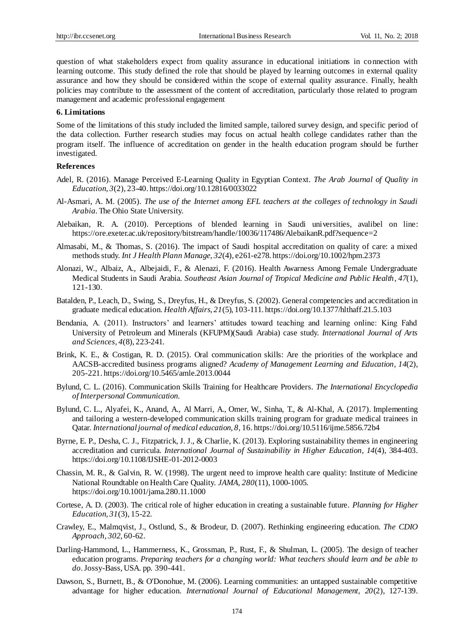question of what stakeholders expect from quality assurance in educational initiations in connection with learning outcome. This study defined the role that should be played by learning outcomes in external quality assurance and how they should be considered within the scope of external quality assurance. Finally, health policies may contribute to the assessment of the content of accreditation, particularly those related to program management and academic professional engagement

## **6. Limitations**

Some of the limitations of this study included the limited sample, tailored survey design, and specific period of the data collection. Further research studies may focus on actual health college candidates rather than the program itself. The influence of accreditation on gender in the health education program should be further investigated.

## **References**

- Adel, R. (2016). Manage Perceived E-Learning Quality in Egyptian Context. *The Arab Journal of Quality in Education, 3*(2), 23-40. https://doi.org/10.12816/0033022
- Al-Asmari, A. M. (2005). *The use of the Internet among EFL teachers at the colleges of technology in Saudi Arabia.* The Ohio State University.
- Alebaikan, R. A. (2010). Perceptions of blended learning in Saudi universities, avalibel on line: <https://ore.exeter.ac.uk/repository/bitstream/handle/10036/117486/AlebaikanR.pdf?sequence=2>
- Almasabi, M., & Thomas, S. (2016). The impact of Saudi hospital accreditation on quality of care: a mixed methods study. *Int J Health Plann Manage*, *32*(4), e261-e278. https://doi.org/10.1002/hpm.2373
- Alonazi, W., Albaiz, A., Albejaidi, F., & Alenazi, F. (2016). Health Awarness Among Female Undergraduate Medical Students in Saudi Arabia. *[Southeast Asian Journal of Tropical Medicine and Public Health](https://search.proquest.com/pubidlinkhandler/sng/pubtitle/Southeast+Asian+Journal+of+Tropical+Medicine+and+Public+Health/$N/34824/PagePdf/1799913262/fulltextPDF/704539B914E24BABPQ/1?accountid=44936)*, *47*(1), 121-130.
- Batalden, P., Leach, D., Swing, S., Dreyfus, H., & Dreyfus, S. (2002). General competencies and accreditation in graduate medical education. *Health Affairs, 21*(5), 103-111. https://doi.org/10.1377/hlthaff.21.5.103
- Bendania, A. (2011). Instructors' and learners' attitudes toward teaching and learning online: King Fahd University of Petroleum and Minerals (KFUPM)(Saudi Arabia) case study. *International Journal of Arts and Sciences, 4*(8), 223-241.
- Brink, K. E., & Costigan, R. D. (2015). Oral communication skills: Are the priorities of the workplace and AACSB-accredited business programs aligned? *Academy of Management Learning and Education, 14*(2), 205-221. https://doi.org/10.5465/amle.2013.0044
- Bylund, C. L. (2016). Communication Skills Training for Healthcare Providers. *The International Encyclopedia of Interpersonal Communication*.
- Bylund, C. L., Alyafei, K., Anand, A., Al Marri, A., Omer, W., Sinha, T., & Al-Khal, A. (2017). Implementing and tailoring a western-developed communication skills training program for graduate medical trainees in Qatar. *International journal of medical education, 8*, 16. https://doi.org/10.5116/ijme.5856.72b4
- Byrne, E. P., Desha, C. J., Fitzpatrick, J. J., & Charlie, K. (2013). Exploring sustainability themes in engineering accreditation and curricula. *International Journal of Sustainability in Higher Education, 14*(4), 384-403. https://doi.org/10.1108/IJSHE-01-2012-0003
- Chassin, M. R., & Galvin, R. W. (1998). The urgent need to improve health care quality: Institute of Medicine National Roundtable on Health Care Quality. *JAMA, 280*(11), 1000-1005. https://doi.org/10.1001/jama.280.11.1000
- Cortese, A. D. (2003). The critical role of higher education in creating a sustainable future. *Planning for Higher Education, 31*(3), 15-22.
- Crawley, E., Malmqvist, J., Ostlund, S., & Brodeur, D. (2007). Rethinking engineering education. *The CDIO Approach, 302*, 60-62.
- Darling-Hammond, L., Hammerness, K., Grossman, P., Rust, F., & Shulman, L. (2005). The design of teacher education programs. *Preparing teachers for a changing world: What teachers should learn and be able to do*. Jossy-Bass, USA. pp. 390-441.
- Dawson, S., Burnett, B., & O'Donohue, M. (2006). Learning communities: an untapped sustainable competitive advantage for higher education. *International Journal of Educational Management, 20*(2), 127-139.